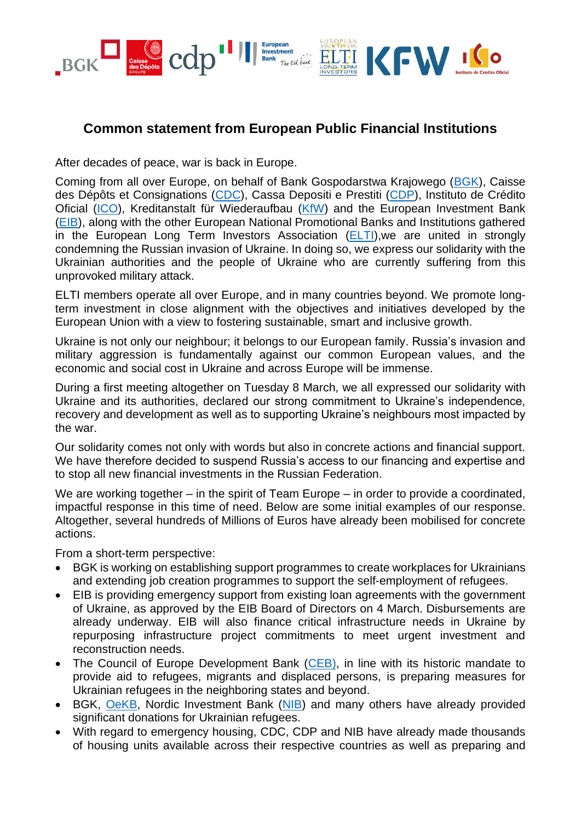

## **Common statement from European Public Financial Institutions**

After decades of peace, war is back in Europe.

Coming from all over Europe, on behalf of Bank Gospodarstwa Krajowego [\(BGK\)](https://www.en.bgk.pl/), Caisse des Dépôts et Consignations [\(CDC\)](https://www.caissedesdepots.fr/en), Cassa Depositi e Prestiti [\(CDP\)](https://www.cdp.it/sitointernet/en/homepage.page), Instituto de Crédito Oficial [\(ICO\)](https://www.ico.es/en/web/guest/inicio), Kreditanstalt für Wiederaufbau [\(KfW\)](https://www.kfw.de/kfw.de-2.html) and the European Investment Bank [\(EIB\)](https://www.eib.org/en/index.htm), along with the other European National Promotional Banks and Institutions gathered in the European Long Term Investors Association [\(ELTI\)](https://www.eltia.eu/), we are united in strongly condemning the Russian invasion of Ukraine. In doing so, we express our solidarity with the Ukrainian authorities and the people of Ukraine who are currently suffering from this unprovoked military attack.

ELTI members operate all over Europe, and in many countries beyond. We promote longterm investment in close alignment with the objectives and initiatives developed by the European Union with a view to fostering sustainable, smart and inclusive growth.

Ukraine is not only our neighbour; it belongs to our European family. Russia's invasion and military aggression is fundamentally against our common European values, and the economic and social cost in Ukraine and across Europe will be immense.

During a first meeting altogether on Tuesday 8 March, we all expressed our solidarity with Ukraine and its authorities, declared our strong commitment to Ukraine's independence, recovery and development as well as to supporting Ukraine's neighbours most impacted by the war.

Our solidarity comes not only with words but also in concrete actions and financial support. We have therefore decided to suspend Russia's access to our financing and expertise and to stop all new financial investments in the Russian Federation.

We are working together – in the spirit of Team Europe – in order to provide a coordinated, impactful response in this time of need. Below are some initial examples of our response. Altogether, several hundreds of Millions of Euros have already been mobilised for concrete actions.

From a short-term perspective:

- BGK is working on establishing support programmes to create workplaces for Ukrainians and extending job creation programmes to support the self-employment of refugees.
- EIB is providing emergency support from existing loan agreements with the government of Ukraine, as approved by the EIB Board of Directors on 4 March. Disbursements are already underway. EIB will also finance critical infrastructure needs in Ukraine by repurposing infrastructure project commitments to meet urgent investment and reconstruction needs.
- The Council of Europe Development Bank [\(CEB\)](https://coebank.org/en/), in line with its historic mandate to provide aid to refugees, migrants and displaced persons, is preparing measures for Ukrainian refugees in the neighboring states and beyond.
- BGK, [OeKB,](https://www.oekb.at/en/) Nordic Investment Bank [\(NIB\)](https://www.nib.int/) and many others have already provided significant donations for Ukrainian refugees.
- With regard to emergency housing, CDC, CDP and NIB have already made thousands of housing units available across their respective countries as well as preparing and